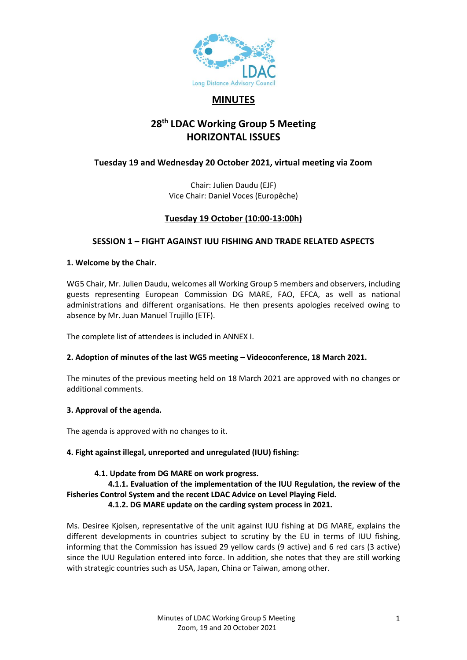

# **MINUTES**

# **28th LDAC Working Group 5 Meeting HORIZONTAL ISSUES**

# **Tuesday 19 and Wednesday 20 October 2021, virtual meeting via Zoom**

Chair: Julien Daudu (EJF) Vice Chair: Daniel Voces (Europêche)

# **Tuesday 19 October (10:00-13:00h)**

### **SESSION 1 – FIGHT AGAINST IUU FISHING AND TRADE RELATED ASPECTS**

#### **1. Welcome by the Chair.**

WG5 Chair, Mr. Julien Daudu, welcomes all Working Group 5 members and observers, including guests representing European Commission DG MARE, FAO, EFCA, as well as national administrations and different organisations. He then presents apologies received owing to absence by Mr. Juan Manuel Trujillo (ETF).

The complete list of attendees is included in ANNEX I.

### **2. Adoption of minutes of the last WG5 meeting – Videoconference, 18 March 2021.**

The minutes of the previous meeting held on 18 March 2021 are approved with no changes or additional comments.

### **3. Approval of the agenda.**

The agenda is approved with no changes to it.

### **4. Fight against illegal, unreported and unregulated (IUU) fishing:**

### **4.1. Update from DG MARE on work progress.**

 **4.1.1. Evaluation of the implementation of the IUU Regulation, the review of the Fisheries Control System and the recent LDAC Advice on Level Playing Field. 4.1.2. DG MARE update on the carding system process in 2021.**

Ms. Desiree Kjolsen, representative of the unit against IUU fishing at DG MARE, explains the different developments in countries subject to scrutiny by the EU in terms of IUU fishing, informing that the Commission has issued 29 yellow cards (9 active) and 6 red cars (3 active) since the IUU Regulation entered into force. In addition, she notes that they are still working with strategic countries such as USA, Japan, China or Taiwan, among other.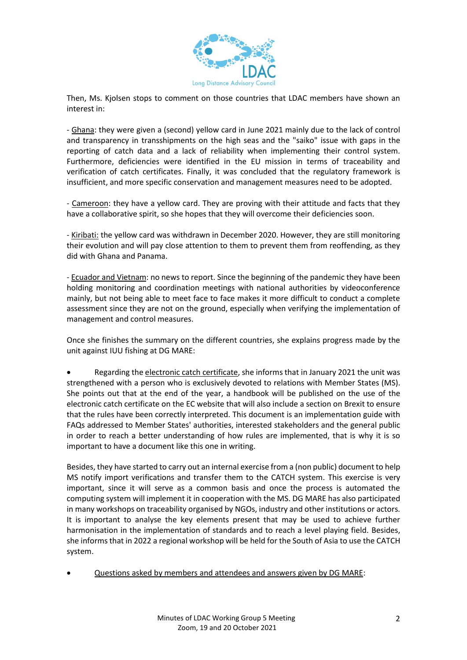

Then, Ms. Kjolsen stops to comment on those countries that LDAC members have shown an interest in:

- Ghana: they were given a (second) yellow card in June 2021 mainly due to the lack of control and transparency in transshipments on the high seas and the "saiko" issue with gaps in the reporting of catch data and a lack of reliability when implementing their control system. Furthermore, deficiencies were identified in the EU mission in terms of traceability and verification of catch certificates. Finally, it was concluded that the regulatory framework is insufficient, and more specific conservation and management measures need to be adopted.

- Cameroon: they have a yellow card. They are proving with their attitude and facts that they have a collaborative spirit, so she hopes that they will overcome their deficiencies soon.

- Kiribati: the yellow card was withdrawn in December 2020. However, they are still monitoring their evolution and will pay close attention to them to prevent them from reoffending, as they did with Ghana and Panama.

- Ecuador and Vietnam: no news to report. Since the beginning of the pandemic they have been holding monitoring and coordination meetings with national authorities by videoconference mainly, but not being able to meet face to face makes it more difficult to conduct a complete assessment since they are not on the ground, especially when verifying the implementation of management and control measures.

Once she finishes the summary on the different countries, she explains progress made by the unit against IUU fishing at DG MARE:

Regarding the electronic catch certificate, she informs that in January 2021 the unit was strengthened with a person who is exclusively devoted to relations with Member States (MS). She points out that at the end of the year, a handbook will be published on the use of the electronic catch certificate on the EC website that will also include a section on Brexit to ensure that the rules have been correctly interpreted. This document is an implementation guide with FAQs addressed to Member States' authorities, interested stakeholders and the general public in order to reach a better understanding of how rules are implemented, that is why it is so important to have a document like this one in writing.

Besides, they have started to carry out an internal exercise from a (non public) document to help MS notify import verifications and transfer them to the CATCH system. This exercise is very important, since it will serve as a common basis and once the process is automated the computing system will implement it in cooperation with the MS. DG MARE has also participated in many workshops on traceability organised by NGOs, industry and other institutions or actors. It is important to analyse the key elements present that may be used to achieve further harmonisation in the implementation of standards and to reach a level playing field. Besides, she informs that in 2022 a regional workshop will be held for the South of Asia to use the CATCH system.

• Questions asked by members and attendees and answers given by DG MARE: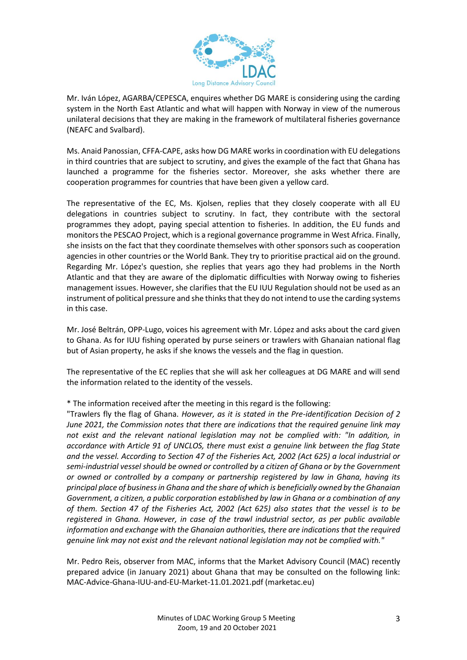

Mr. Iván López, AGARBA/CEPESCA, enquires whether DG MARE is considering using the carding system in the North East Atlantic and what will happen with Norway in view of the numerous unilateral decisions that they are making in the framework of multilateral fisheries governance (NEAFC and Svalbard).

Ms. Anaid Panossian, CFFA-CAPE, asks how DG MARE works in coordination with EU delegations in third countries that are subject to scrutiny, and gives the example of the fact that Ghana has launched a programme for the fisheries sector. Moreover, she asks whether there are cooperation programmes for countries that have been given a yellow card.

The representative of the EC, Ms. Kjolsen, replies that they closely cooperate with all EU delegations in countries subject to scrutiny. In fact, they contribute with the sectoral programmes they adopt, paying special attention to fisheries. In addition, the EU funds and monitors the PESCAO Project, which is a regional governance programme in West Africa. Finally, she insists on the fact that they coordinate themselves with other sponsors such as cooperation agencies in other countries or the World Bank. They try to prioritise practical aid on the ground. Regarding Mr. López's question, she replies that years ago they had problems in the North Atlantic and that they are aware of the diplomatic difficulties with Norway owing to fisheries management issues. However, she clarifies that the EU IUU Regulation should not be used as an instrument of political pressure and she thinks that they do not intend to use the carding systems in this case.

Mr. José Beltrán, OPP-Lugo, voices his agreement with Mr. López and asks about the card given to Ghana. As for IUU fishing operated by purse seiners or trawlers with Ghanaian national flag but of Asian property, he asks if she knows the vessels and the flag in question.

The representative of the EC replies that she will ask her colleagues at DG MARE and will send the information related to the identity of the vessels.

\* The information received after the meeting in this regard is the following:

"Trawlers fly the flag of Ghana. *However, as it is stated in the Pre-identification Decision of 2 June 2021, the Commission notes that there are indications that the required genuine link may not exist and the relevant national legislation may not be complied with: "In addition, in accordance with Article 91 of UNCLOS, there must exist a genuine link between the flag State and the vessel. According to Section 47 of the Fisheries Act, 2002 (Act 625) a local industrial or semi-industrial vessel should be owned or controlled by a citizen of Ghana or by the Government or owned or controlled by a company or partnership registered by law in Ghana, having its principal place of business in Ghana and the share of which is beneficially owned by the Ghanaian Government, a citizen, a public corporation established by law in Ghana or a combination of any of them. Section 47 of the Fisheries Act, 2002 (Act 625) also states that the vessel is to be registered in Ghana. However, in case of the trawl industrial sector, as per public available information and exchange with the Ghanaian authorities, there are indications that the required genuine link may not exist and the relevant national legislation may not be complied with."*

Mr. Pedro Reis, observer from MAC, informs that the Market Advisory Council (MAC) recently prepared advice (in January 2021) about Ghana that may be consulted on the following link: [MAC-Advice-Ghana-IUU-and-EU-Market-11.01.2021.pdf \(marketac.eu\)](https://marketac.eu/wp-content/uploads/2021/01/MAC-Advice-Ghana-IUU-and-EU-Market-11.01.2021.pdf)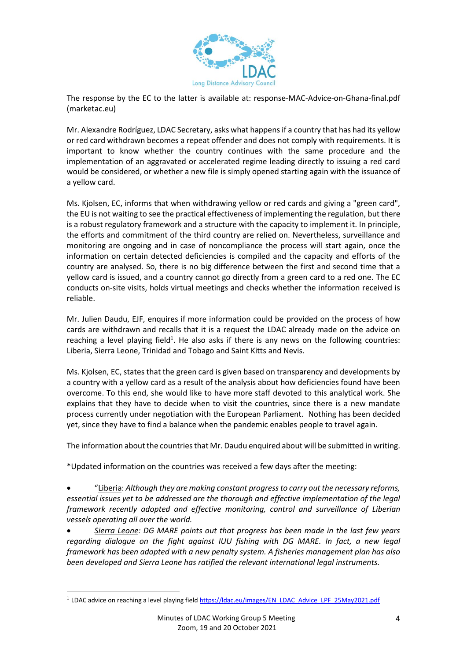

The response by the EC to the latter is available at: [response-MAC-Advice-on-Ghana-final.pdf](https://marketac.eu/wp-content/uploads/2021/02/response-MAC-Advice-on-Ghana-final.pdf)  [\(marketac.eu\)](https://marketac.eu/wp-content/uploads/2021/02/response-MAC-Advice-on-Ghana-final.pdf)

Mr. Alexandre Rodríguez, LDAC Secretary, asks what happens if a country that has had its yellow or red card withdrawn becomes a repeat offender and does not comply with requirements. It is important to know whether the country continues with the same procedure and the implementation of an aggravated or accelerated regime leading directly to issuing a red card would be considered, or whether a new file is simply opened starting again with the issuance of a yellow card.

Ms. Kjolsen, EC, informs that when withdrawing yellow or red cards and giving a "green card", the EU is not waiting to see the practical effectiveness of implementing the regulation, but there is a robust regulatory framework and a structure with the capacity to implement it. In principle, the efforts and commitment of the third country are relied on. Nevertheless, surveillance and monitoring are ongoing and in case of noncompliance the process will start again, once the information on certain detected deficiencies is compiled and the capacity and efforts of the country are analysed. So, there is no big difference between the first and second time that a yellow card is issued, and a country cannot go directly from a green card to a red one. The EC conducts on-site visits, holds virtual meetings and checks whether the information received is reliable.

Mr. Julien Daudu, EJF, enquires if more information could be provided on the process of how cards are withdrawn and recalls that it is a request the LDAC already made on the advice on reaching a level playing field<sup>1</sup>. He also asks if there is any news on the following countries: Liberia, Sierra Leone, Trinidad and Tobago and Saint Kitts and Nevis.

Ms. Kjolsen, EC, states that the green card is given based on transparency and developments by a country with a yellow card as a result of the analysis about how deficiencies found have been overcome. To this end, she would like to have more staff devoted to this analytical work. She explains that they have to decide when to visit the countries, since there is a new mandate process currently under negotiation with the European Parliament. Nothing has been decided yet, since they have to find a balance when the pandemic enables people to travel again.

The information about the countries that Mr. Daudu enquired about will be submitted in writing.

\*Updated information on the countries was received a few days after the meeting:

• "Liberia: *Although they are making constant progress to carry out the necessary reforms, essential issues yet to be addressed are the thorough and effective implementation of the legal framework recently adopted and effective monitoring, control and surveillance of Liberian vessels operating all over the world.* 

• *Sierra Leone: DG MARE points out that progress has been made in the last few years regarding dialogue on the fight against IUU fishing with DG MARE. In fact, a new legal framework has been adopted with a new penalty system. A fisheries management plan has also been developed and Sierra Leone has ratified the relevant international legal instruments.* 

<sup>&</sup>lt;sup>1</sup> LDAC advice on reaching a level playing fiel[d https://ldac.eu/images/EN\\_LDAC\\_Advice\\_LPF\\_25May2021.pdf](https://ldac.eu/images/EN_LDAC_Advice_LPF_25May2021.pdf)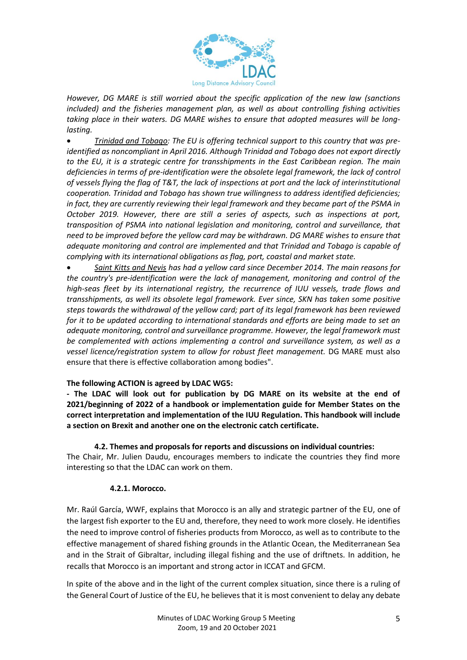

*However, DG MARE is still worried about the specific application of the new law (sanctions included) and the fisheries management plan, as well as about controlling fishing activities taking place in their waters. DG MARE wishes to ensure that adopted measures will be longlasting.* 

• *Trinidad and Tobago: The EU is offering technical support to this country that was preidentified as noncompliant in April 2016. Although Trinidad and Tobago does not export directly to the EU, it is a strategic centre for transshipments in the East Caribbean region. The main deficiencies in terms of pre-identification were the obsolete legal framework, the lack of control of vessels flying the flag of T&T, the lack of inspections at port and the lack of interinstitutional cooperation. Trinidad and Tobago has shown true willingness to address identified deficiencies; in fact, they are currently reviewing their legal framework and they became part of the PSMA in October 2019. However, there are still a series of aspects, such as inspections at port, transposition of PSMA into national legislation and monitoring, control and surveillance, that need to be improved before the yellow card may be withdrawn. DG MARE wishes to ensure that adequate monitoring and control are implemented and that Trinidad and Tobago is capable of complying with its international obligations as flag, port, coastal and market state.* 

• *Saint Kitts and Nevis has had a yellow card since December 2014. The main reasons for the country's pre-identification were the lack of management, monitoring and control of the high-seas fleet by its international registry, the recurrence of IUU vessels, trade flows and transshipments, as well its obsolete legal framework. Ever since, SKN has taken some positive steps towards the withdrawal of the yellow card; part of its legal framework has been reviewed for it to be updated according to international standards and efforts are being made to set an adequate monitoring, control and surveillance programme. However, the legal framework must be complemented with actions implementing a control and surveillance system, as well as a vessel licence/registration system to allow for robust fleet management.* DG MARE must also ensure that there is effective collaboration among bodies".

### **The following ACTION is agreed by LDAC WG5:**

**- The LDAC will look out for publication by DG MARE on its website at the end of 2021/beginning of 2022 of a handbook or implementation guide for Member States on the correct interpretation and implementation of the IUU Regulation. This handbook will include a section on Brexit and another one on the electronic catch certificate.** 

#### **4.2. Themes and proposals for reports and discussions on individual countries:**

The Chair, Mr. Julien Daudu, encourages members to indicate the countries they find more interesting so that the LDAC can work on them.

#### **4.2.1. Morocco.**

Mr. Raúl García, WWF, explains that Morocco is an ally and strategic partner of the EU, one of the largest fish exporter to the EU and, therefore, they need to work more closely. He identifies the need to improve control of fisheries products from Morocco, as well as to contribute to the effective management of shared fishing grounds in the Atlantic Ocean, the Mediterranean Sea and in the Strait of Gibraltar, including illegal fishing and the use of driftnets. In addition, he recalls that Morocco is an important and strong actor in ICCAT and GFCM.

In spite of the above and in the light of the current complex situation, since there is a ruling of the General Court of Justice of the EU, he believes that it is most convenient to delay any debate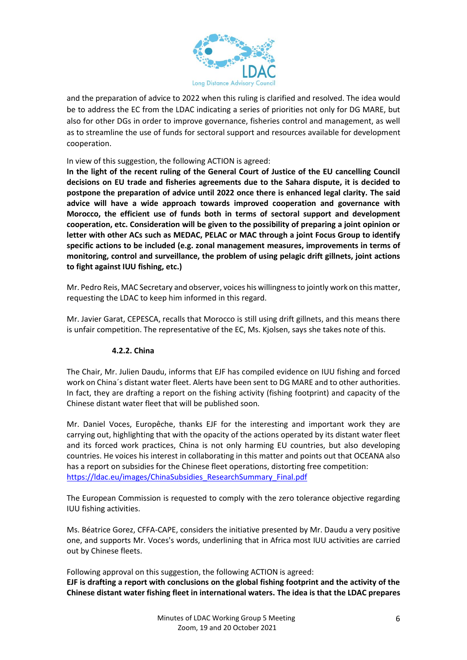

and the preparation of advice to 2022 when this ruling is clarified and resolved. The idea would be to address the EC from the LDAC indicating a series of priorities not only for DG MARE, but also for other DGs in order to improve governance, fisheries control and management, as well as to streamline the use of funds for sectoral support and resources available for development cooperation.

### In view of this suggestion, the following ACTION is agreed:

**In the light of the recent ruling of the General Court of Justice of the EU cancelling Council decisions on EU trade and fisheries agreements due to the Sahara dispute, it is decided to postpone the preparation of advice until 2022 once there is enhanced legal clarity. The said advice will have a wide approach towards improved cooperation and governance with Morocco, the efficient use of funds both in terms of sectoral support and development cooperation, etc. Consideration will be given to the possibility of preparing a joint opinion or letter with other ACs such as MEDAC, PELAC or MAC through a joint Focus Group to identify specific actions to be included (e.g. zonal management measures, improvements in terms of monitoring, control and surveillance, the problem of using pelagic drift gillnets, joint actions to fight against IUU fishing, etc.)**

Mr. Pedro Reis, MAC Secretary and observer, voices his willingness to jointly work on this matter, requesting the LDAC to keep him informed in this regard.

Mr. Javier Garat, CEPESCA, recalls that Morocco is still using drift gillnets, and this means there is unfair competition. The representative of the EC, Ms. Kjolsen, says she takes note of this.

### **4.2.2. China**

The Chair, Mr. Julien Daudu, informs that EJF has compiled evidence on IUU fishing and forced work on China´s distant water fleet. Alerts have been sent to DG MARE and to other authorities. In fact, they are drafting a report on the fishing activity (fishing footprint) and capacity of the Chinese distant water fleet that will be published soon.

Mr. Daniel Voces, Europêche, thanks EJF for the interesting and important work they are carrying out, highlighting that with the opacity of the actions operated by its distant water fleet and its forced work practices, China is not only harming EU countries, but also developing countries. He voices his interest in collaborating in this matter and points out that OCEANA also has a report on subsidies for the Chinese fleet operations, distorting free competition: [https://ldac.eu/images/ChinaSubsidies\\_ResearchSummary\\_Final.pdf](https://ldac.eu/images/ChinaSubsidies_ResearchSummary_Final.pdf)

The European Commission is requested to comply with the zero tolerance objective regarding IUU fishing activities.

Ms. Béatrice Gorez, CFFA-CAPE, considers the initiative presented by Mr. Daudu a very positive one, and supports Mr. Voces's words, underlining that in Africa most IUU activities are carried out by Chinese fleets.

Following approval on this suggestion, the following ACTION is agreed: **EJF is drafting a report with conclusions on the global fishing footprint and the activity of the Chinese distant water fishing fleet in international waters. The idea is that the LDAC prepares**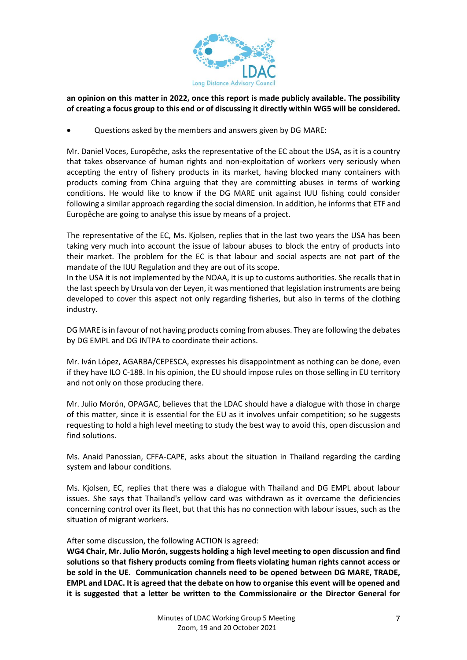

### **an opinion on this matter in 2022, once this report is made publicly available. The possibility of creating a focus group to this end or of discussing it directly within WG5 will be considered.**

• Questions asked by the members and answers given by DG MARE:

Mr. Daniel Voces, Europêche, asks the representative of the EC about the USA, as it is a country that takes observance of human rights and non-exploitation of workers very seriously when accepting the entry of fishery products in its market, having blocked many containers with products coming from China arguing that they are committing abuses in terms of working conditions. He would like to know if the DG MARE unit against IUU fishing could consider following a similar approach regarding the social dimension. In addition, he informs that ETF and Europêche are going to analyse this issue by means of a project.

The representative of the EC, Ms. Kjolsen, replies that in the last two years the USA has been taking very much into account the issue of labour abuses to block the entry of products into their market. The problem for the EC is that labour and social aspects are not part of the mandate of the IUU Regulation and they are out of its scope.

In the USA it is not implemented by the NOAA, it is up to customs authorities. She recalls that in the last speech by Ursula von der Leyen, it was mentioned that legislation instruments are being developed to cover this aspect not only regarding fisheries, but also in terms of the clothing industry.

DG MARE is in favour of not having products coming from abuses. They are following the debates by DG EMPL and DG INTPA to coordinate their actions.

Mr. Iván López, AGARBA/CEPESCA, expresses his disappointment as nothing can be done, even if they have ILO C-188. In his opinion, the EU should impose rules on those selling in EU territory and not only on those producing there.

Mr. Julio Morón, OPAGAC, believes that the LDAC should have a dialogue with those in charge of this matter, since it is essential for the EU as it involves unfair competition; so he suggests requesting to hold a high level meeting to study the best way to avoid this, open discussion and find solutions.

Ms. Anaid Panossian, CFFA-CAPE, asks about the situation in Thailand regarding the carding system and labour conditions.

Ms. Kjolsen, EC, replies that there was a dialogue with Thailand and DG EMPL about labour issues. She says that Thailand's yellow card was withdrawn as it overcame the deficiencies concerning control over its fleet, but that this has no connection with labour issues, such as the situation of migrant workers.

After some discussion, the following ACTION is agreed:

**WG4 Chair, Mr. Julio Morón, suggests holding a high level meeting to open discussion and find solutions so that fishery products coming from fleets violating human rights cannot access or be sold in the UE. Communication channels need to be opened between DG MARE, TRADE, EMPL and LDAC. It is agreed that the debate on how to organise this event will be opened and it is suggested that a letter be written to the Commissionaire or the Director General for**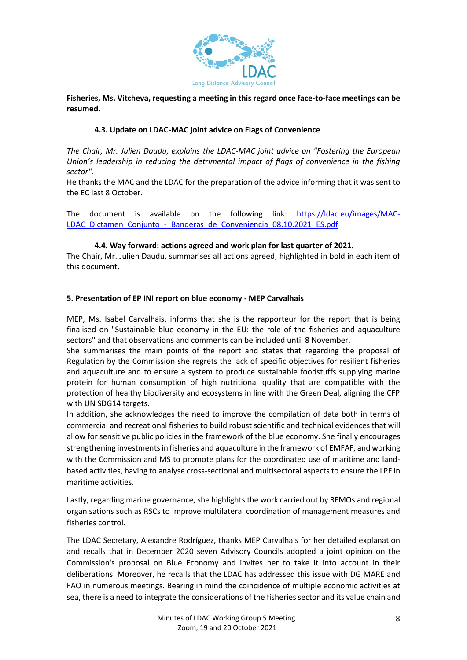

**Fisheries, Ms. Vitcheva, requesting a meeting in this regard once face-to-face meetings can be resumed.** 

### **4.3. Update on LDAC-MAC joint advice on Flags of Convenience**.

*The Chair, Mr. Julien Daudu, explains the LDAC-MAC joint advice on "Fostering the European Union's leadership in reducing the detrimental impact of flags of convenience in the fishing sector".*

He thanks the MAC and the LDAC for the preparation of the advice informing that it was sent to the EC last 8 October.

The document is available on the following link: [https://ldac.eu/images/MAC-](https://ldac.eu/images/MAC-LDAC_Dictamen_Conjunto_-_Banderas_de_Conveniencia_08.10.2021_ES.pdf)[LDAC\\_Dictamen\\_Conjunto\\_-\\_Banderas\\_de\\_Conveniencia\\_08.10.2021\\_ES.pdf](https://ldac.eu/images/MAC-LDAC_Dictamen_Conjunto_-_Banderas_de_Conveniencia_08.10.2021_ES.pdf)

### **4.4. Way forward: actions agreed and work plan for last quarter of 2021.**

The Chair, Mr. Julien Daudu, summarises all actions agreed, highlighted in bold in each item of this document.

#### **5. Presentation of EP INI report on blue economy - MEP Carvalhais**

MEP, Ms. Isabel Carvalhais, informs that she is the rapporteur for the report that is being finalised on "Sustainable blue economy in the EU: the role of the fisheries and aquaculture sectors" and that observations and comments can be included until 8 November.

She summarises the main points of the report and states that regarding the proposal of Regulation by the Commission she regrets the lack of specific objectives for resilient fisheries and aquaculture and to ensure a system to produce sustainable foodstuffs supplying marine protein for human consumption of high nutritional quality that are compatible with the protection of healthy biodiversity and ecosystems in line with the Green Deal, aligning the CFP with UN SDG14 targets.

In addition, she acknowledges the need to improve the compilation of data both in terms of commercial and recreational fisheries to build robust scientific and technical evidences that will allow for sensitive public policies in the framework of the blue economy. She finally encourages strengthening investments in fisheries and aquaculture in the framework of EMFAF, and working with the Commission and MS to promote plans for the coordinated use of maritime and landbased activities, having to analyse cross-sectional and multisectoral aspects to ensure the LPF in maritime activities.

Lastly, regarding marine governance, she highlights the work carried out by RFMOs and regional organisations such as RSCs to improve multilateral coordination of management measures and fisheries control.

The LDAC Secretary, Alexandre Rodríguez, thanks MEP Carvalhais for her detailed explanation and recalls that in December 2020 seven Advisory Councils adopted a joint opinion on the Commission's proposal on Blue Economy and invites her to take it into account in their deliberations. Moreover, he recalls that the LDAC has addressed this issue with DG MARE and FAO in numerous meetings. Bearing in mind the coincidence of multiple economic activities at sea, there is a need to integrate the considerations of the fisheries sector and its value chain and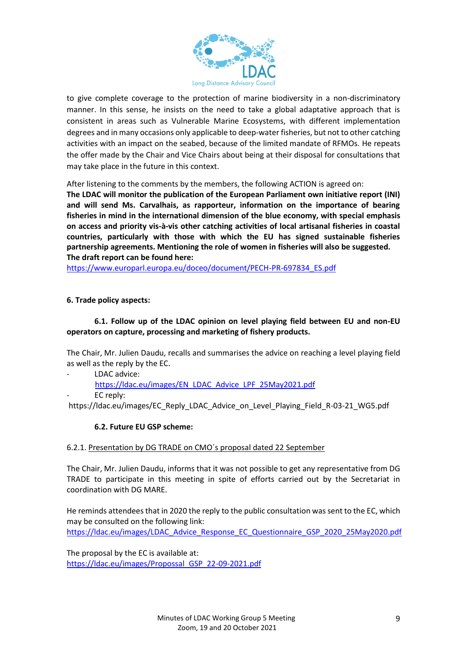

to give complete coverage to the protection of marine biodiversity in a non-discriminatory manner. In this sense, he insists on the need to take a global adaptative approach that is consistent in areas such as Vulnerable Marine Ecosystems, with different implementation degrees and in many occasions only applicable to deep-water fisheries, but not to other catching activities with an impact on the seabed, because of the limited mandate of RFMOs. He repeats the offer made by the Chair and Vice Chairs about being at their disposal for consultations that may take place in the future in this context.

After listening to the comments by the members, the following ACTION is agreed on:

**The LDAC will monitor the publication of the European Parliament own initiative report (INI) and will send Ms. Carvalhais, as rapporteur, information on the importance of bearing fisheries in mind in the international dimension of the blue economy, with special emphasis on access and priority vis-à-vis other catching activities of local artisanal fisheries in coastal countries, particularly with those with which the EU has signed sustainable fisheries partnership agreements. Mentioning the role of women in fisheries will also be suggested. The draft report can be found here:** 

[https://www.europarl.europa.eu/doceo/document/PECH-PR-697834\\_ES.pdf](https://www.europarl.europa.eu/doceo/document/PECH-PR-697834_ES.pdf) 

### **6. Trade policy aspects:**

### **6.1. Follow up of the LDAC opinion on level playing field between EU and non-EU operators on capture, processing and marketing of fishery products.**

The Chair, Mr. Julien Daudu, recalls and summarises the advice on reaching a level playing field as well as the reply by the EC.

- LDAC advice:
	- [https://ldac.eu/images/EN\\_LDAC\\_Advice\\_LPF\\_25May2021.pdf](https://ldac.eu/images/EN_LDAC_Advice_LPF_25May2021.pdf)
- EC reply:

[https://ldac.eu/images/EC\\_Reply\\_LDAC\\_Advice\\_on\\_Level\\_Playing\\_Field\\_R-03-21\\_WG5.pdf](https://ldac.eu/images/EC_Reply_LDAC_Advice_on_Level_Playing_Field_R-03-21_WG5.pdf) 

#### **6.2. Future EU GSP scheme:**

#### 6.2.1. Presentation by DG TRADE on CMO´s proposal dated 22 September

The Chair, Mr. Julien Daudu, informs that it was not possible to get any representative from DG TRADE to participate in this meeting in spite of efforts carried out by the Secretariat in coordination with DG MARE.

He reminds attendees that in 2020 the reply to the public consultation was sent to the EC, which may be consulted on the following link: [https://ldac.eu/images/LDAC\\_Advice\\_Response\\_EC\\_Questionnaire\\_GSP\\_2020\\_25May2020.pdf](https://ldac.eu/images/LDAC_Advice_Response_EC_Questionnaire_GSP_2020_25May2020.pdf)

The proposal by the EC is available at: [https://ldac.eu/images/Propossal\\_GSP\\_22-09-2021.pdf](https://ldac.eu/images/Propossal_GSP_22-09-2021.pdf)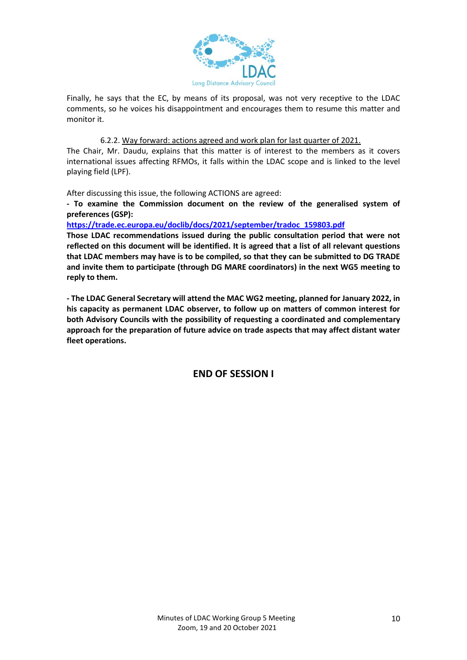

Finally, he says that the EC, by means of its proposal, was not very receptive to the LDAC comments, so he voices his disappointment and encourages them to resume this matter and monitor it.

#### 6.2.2. Way forward: actions agreed and work plan for last quarter of 2021.

The Chair, Mr. Daudu, explains that this matter is of interest to the members as it covers international issues affecting RFMOs, it falls within the LDAC scope and is linked to the level playing field (LPF).

After discussing this issue, the following ACTIONS are agreed:

**- To examine the Commission document on the review of the generalised system of preferences (GSP):**

**[https://trade.ec.europa.eu/doclib/docs/2021/september/tradoc\\_159803.pdf](https://trade.ec.europa.eu/doclib/docs/2021/september/tradoc_159803.pdf)**

**Those LDAC recommendations issued during the public consultation period that were not reflected on this document will be identified. It is agreed that a list of all relevant questions that LDAC members may have is to be compiled, so that they can be submitted to DG TRADE and invite them to participate (through DG MARE coordinators) in the next WG5 meeting to reply to them.** 

**- The LDAC General Secretary will attend the MAC WG2 meeting, planned for January 2022, in his capacity as permanent LDAC observer, to follow up on matters of common interest for both Advisory Councils with the possibility of requesting a coordinated and complementary approach for the preparation of future advice on trade aspects that may affect distant water fleet operations.** 

**END OF SESSION I**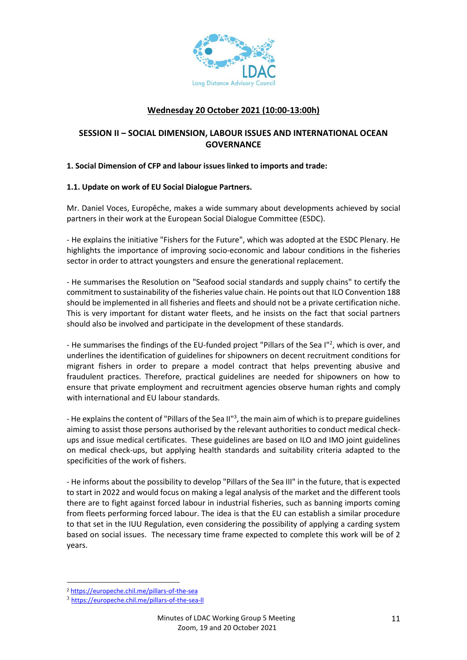

# **Wednesday 20 October 2021 (10:00-13:00h)**

## **SESSION II – SOCIAL DIMENSION, LABOUR ISSUES AND INTERNATIONAL OCEAN GOVERNANCE**

#### **1. Social Dimension of CFP and labour issues linked to imports and trade:**

#### **1.1. Update on work of EU Social Dialogue Partners.**

Mr. Daniel Voces, Europêche, makes a wide summary about developments achieved by social partners in their work at the European Social Dialogue Committee (ESDC).

- He explains the initiative "Fishers for the Future", which was adopted at the ESDC Plenary. He highlights the importance of improving socio-economic and labour conditions in the fisheries sector in order to attract youngsters and ensure the generational replacement.

- He summarises the Resolution on "Seafood social standards and supply chains" to certify the commitment to sustainability of the fisheries value chain. He points out that ILO Convention 188 should be implemented in all fisheries and fleets and should not be a private certification niche. This is very important for distant water fleets, and he insists on the fact that social partners should also be involved and participate in the development of these standards.

- He summarises the findings of the EU-funded project "Pillars of the Sea I"<sup>2</sup>, which is over, and underlines the identification of guidelines for shipowners on decent recruitment conditions for migrant fishers in order to prepare a model contract that helps preventing abusive and fraudulent practices. Therefore, practical guidelines are needed for shipowners on how to ensure that private employment and recruitment agencies observe human rights and comply with international and EU labour standards.

- He explains the content of "Pillars of the Sea II"<sup>3</sup>, the main aim of which is to prepare guidelines aiming to assist those persons authorised by the relevant authorities to conduct medical checkups and issue medical certificates. These guidelines are based on ILO and IMO joint guidelines on medical check-ups, but applying health standards and suitability criteria adapted to the specificities of the work of fishers.

- He informs about the possibility to develop "Pillars of the Sea III" in the future, that is expected to start in 2022 and would focus on making a legal analysis of the market and the different tools there are to fight against forced labour in industrial fisheries, such as banning imports coming from fleets performing forced labour. The idea is that the EU can establish a similar procedure to that set in the IUU Regulation, even considering the possibility of applying a carding system based on social issues. The necessary time frame expected to complete this work will be of 2 years.

<sup>2</sup> <https://europeche.chil.me/pillars-of-the-sea>

<sup>3</sup> <https://europeche.chil.me/pillars-of-the-sea-ll>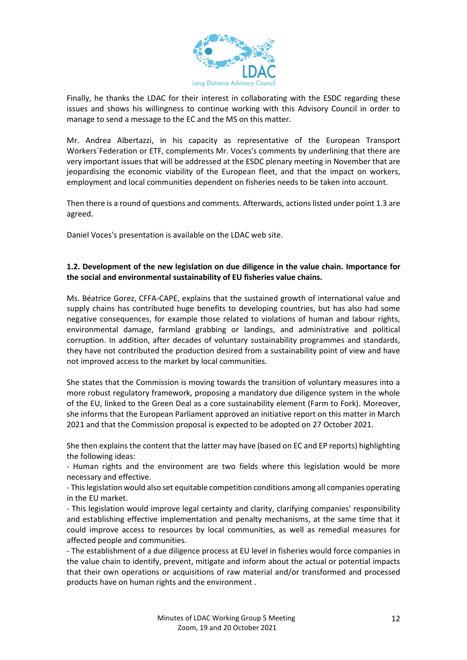

Finally, he thanks the LDAC for their interest in collaborating with the ESDC regarding these issues and shows his willingness to continue working with this Advisory Council in order to manage to send a message to the EC and the MS on this matter.

Mr. Andrea Albertazzi, in his capacity as representative of the European Transport Workers´Federation or ETF, complements Mr. Voces's comments by underlining that there are very important issues that will be addressed at the ESDC plenary meeting in November that are jeopardising the economic viability of the European fleet, and that the impact on workers, employment and local communities dependent on fisheries needs to be taken into account.

Then there is a round of questions and comments. Afterwards, actions listed under point 1.3 are agreed.

Daniel Voces's presentation is available on the LDAC web site.

### **1.2. Development of the new legislation on due diligence in the value chain. Importance for the social and environmental sustainability of EU fisheries value chains.**

Ms. Béatrice Gorez, CFFA-CAPE, explains that the sustained growth of international value and supply chains has contributed huge benefits to developing countries, but has also had some negative consequences, for example those related to violations of human and labour rights, environmental damage, farmland grabbing or landings, and administrative and political corruption. In addition, after decades of voluntary sustainability programmes and standards, they have not contributed the production desired from a sustainability point of view and have not improved access to the market by local communities.

She states that the Commission is moving towards the transition of voluntary measures into a more robust regulatory framework, proposing a mandatory due diligence system in the whole of the EU, linked to the Green Deal as a core sustainability element (Farm to Fork). Moreover, she informs that the European Parliament approved an initiative report on this matter in March 2021 and that the Commission proposal is expected to be adopted on 27 October 2021.

She then explains the content that the latter may have (based on EC and EP reports) highlighting the following ideas:

- Human rights and the environment are two fields where this legislation would be more necessary and effective.

- This legislation would also set equitable competition conditions among all companies operating in the EU market.

- This legislation would improve legal certainty and clarity, clarifying companies' responsibility and establishing effective implementation and penalty mechanisms, at the same time that it could improve access to resources by local communities, as well as remedial measures for affected people and communities.

- The establishment of a due diligence process at EU level in fisheries would force companies in the value chain to identify, prevent, mitigate and inform about the actual or potential impacts that their own operations or acquisitions of raw material and/or transformed and processed products have on human rights and the environment .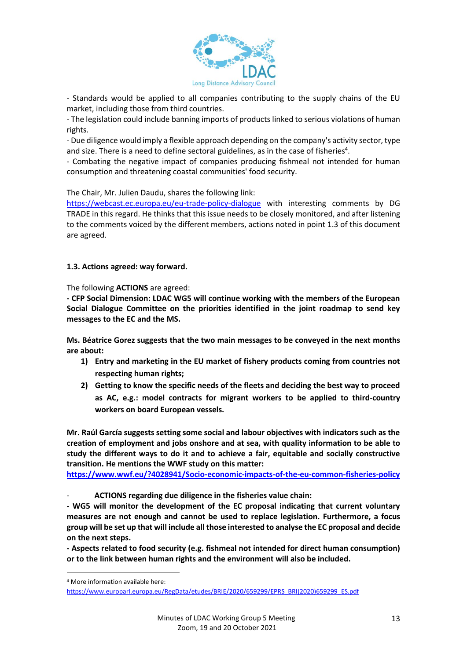

- Standards would be applied to all companies contributing to the supply chains of the EU market, including those from third countries.

- The legislation could include banning imports of products linked to serious violations of human rights.

- Due diligence would imply a flexible approach depending on the company's activity sector, type and size. There is a need to define sectoral guidelines, as in the case of fisheries<sup>4</sup>.

- Combating the negative impact of companies producing fishmeal not intended for human consumption and threatening coastal communities' food security.

The Chair, Mr. Julien Daudu, shares the following link:

<https://webcast.ec.europa.eu/eu-trade-policy-dialogue> with interesting comments by DG TRADE in this regard. He thinks that this issue needs to be closely monitored, and after listening to the comments voiced by the different members, actions noted in point 1.3 of this document are agreed.

#### **1.3. Actions agreed: way forward.**

The following **ACTIONS** are agreed:

**- CFP Social Dimension: LDAC WG5 will continue working with the members of the European Social Dialogue Committee on the priorities identified in the joint roadmap to send key messages to the EC and the MS.** 

**Ms. Béatrice Gorez suggests that the two main messages to be conveyed in the next months are about:** 

- **1) Entry and marketing in the EU market of fishery products coming from countries not respecting human rights;**
- **2) Getting to know the specific needs of the fleets and deciding the best way to proceed as AC, e.g.: model contracts for migrant workers to be applied to third-country workers on board European vessels.**

**Mr. Raúl García suggests setting some social and labour objectives with indicators such as the creation of employment and jobs onshore and at sea, with quality information to be able to study the different ways to do it and to achieve a fair, equitable and socially constructive transition. He mentions the WWF study on this matter:** 

**<https://www.wwf.eu/?4028941/Socio-economic-impacts-of-the-eu-common-fisheries-policy>**

- **ACTIONS regarding due diligence in the fisheries value chain:** 

**- WG5 will monitor the development of the EC proposal indicating that current voluntary measures are not enough and cannot be used to replace legislation. Furthermore, a focus group will be set up that will include all those interested to analyse the EC proposal and decide on the next steps.** 

**- Aspects related to food security (e.g. fishmeal not intended for direct human consumption) or to the link between human rights and the environment will also be included.**

<sup>4</sup> More information available here:

[https://www.europarl.europa.eu/RegData/etudes/BRIE/2020/659299/EPRS\\_BRI\(2020\)659299\\_ES.pdf](https://www.europarl.europa.eu/RegData/etudes/BRIE/2020/659299/EPRS_BRI(2020)659299_ES.pdf)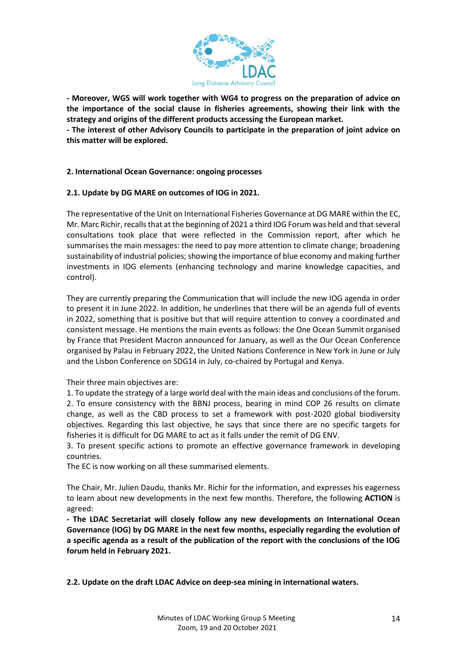

**- Moreover, WG5 will work together with WG4 to progress on the preparation of advice on the importance of the social clause in fisheries agreements, showing their link with the strategy and origins of the different products accessing the European market.** 

**- The interest of other Advisory Councils to participate in the preparation of joint advice on this matter will be explored.**

#### **2. International Ocean Governance: ongoing processes**

#### **2.1. Update by DG MARE on outcomes of IOG in 2021.**

The representative of the Unit on International Fisheries Governance at DG MARE within the EC, Mr. Marc Richir, recalls that at the beginning of 2021 a third IOG Forum was held and thatseveral consultations took place that were reflected in the Commission report, after which he summarises the main messages: the need to pay more attention to climate change; broadening sustainability of industrial policies; showing the importance of blue economy and making further investments in IOG elements (enhancing technology and marine knowledge capacities, and control).

They are currently preparing the Communication that will include the new IOG agenda in order to present it in June 2022. In addition, he underlines that there will be an agenda full of events in 2022, something that is positive but that will require attention to convey a coordinated and consistent message. He mentions the main events as follows: the One Ocean Summit organised by France that President Macron announced for January, as well as the Our Ocean Conference organised by Palau in February 2022, the United Nations Conference in New York in June or July and the Lisbon Conference on SDG14 in July, co-chaired by Portugal and Kenya.

Their three main objectives are:

1. To update the strategy of a large world deal with the main ideas and conclusions of the forum. 2. To ensure consistency with the BBNJ process, bearing in mind COP 26 results on climate change, as well as the CBD process to set a framework with post-2020 global biodiversity objectives. Regarding this last objective, he says that since there are no specific targets for fisheries it is difficult for DG MARE to act as it falls under the remit of DG ENV.

3. To present specific actions to promote an effective governance framework in developing countries.

The EC is now working on all these summarised elements.

The Chair, Mr. Julien Daudu, thanks Mr. Richir for the information, and expresses his eagerness to learn about new developments in the next few months. Therefore, the following **ACTION** is agreed:

**- The LDAC Secretariat will closely follow any new developments on International Ocean Governance (IOG) by DG MARE in the next few months, especially regarding the evolution of a specific agenda as a result of the publication of the report with the conclusions of the IOG forum held in February 2021.** 

**2.2. Update on the draft LDAC Advice on deep-sea mining in international waters.**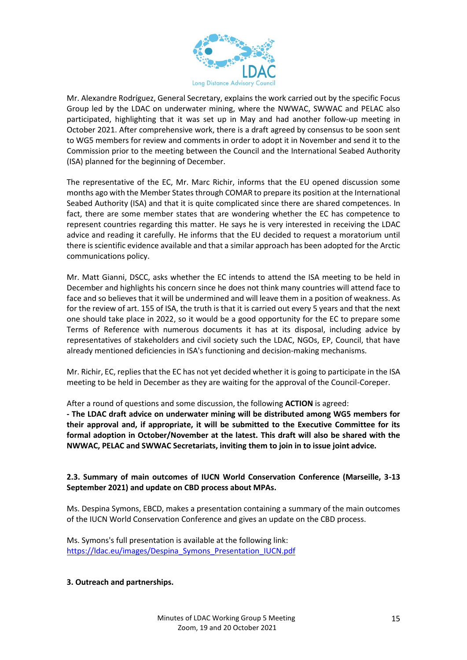

Mr. Alexandre Rodríguez, General Secretary, explains the work carried out by the specific Focus Group led by the LDAC on underwater mining, where the NWWAC, SWWAC and PELAC also participated, highlighting that it was set up in May and had another follow-up meeting in October 2021. After comprehensive work, there is a draft agreed by consensus to be soon sent to WG5 members for review and comments in order to adopt it in November and send it to the Commission prior to the meeting between the Council and the International Seabed Authority (ISA) planned for the beginning of December.

The representative of the EC, Mr. Marc Richir, informs that the EU opened discussion some months ago with the Member States through COMAR to prepare its position at the International Seabed Authority (ISA) and that it is quite complicated since there are shared competences. In fact, there are some member states that are wondering whether the EC has competence to represent countries regarding this matter. He says he is very interested in receiving the LDAC advice and reading it carefully. He informs that the EU decided to request a moratorium until there is scientific evidence available and that a similar approach has been adopted for the Arctic communications policy.

Mr. Matt Gianni, DSCC, asks whether the EC intends to attend the ISA meeting to be held in December and highlights his concern since he does not think many countries will attend face to face and so believes that it will be undermined and will leave them in a position of weakness. As for the review of art. 155 of ISA, the truth is that it is carried out every 5 years and that the next one should take place in 2022, so it would be a good opportunity for the EC to prepare some Terms of Reference with numerous documents it has at its disposal, including advice by representatives of stakeholders and civil society such the LDAC, NGOs, EP, Council, that have already mentioned deficiencies in ISA's functioning and decision-making mechanisms.

Mr. Richir, EC, replies that the EC has not yet decided whether it is going to participate in the ISA meeting to be held in December as they are waiting for the approval of the Council-Coreper.

After a round of questions and some discussion, the following **ACTION** is agreed:

**- The LDAC draft advice on underwater mining will be distributed among WG5 members for their approval and, if appropriate, it will be submitted to the Executive Committee for its formal adoption in October/November at the latest. This draft will also be shared with the NWWAC, PELAC and SWWAC Secretariats, inviting them to join in to issue joint advice.** 

### **2.3. Summary of main outcomes of IUCN World Conservation Conference (Marseille, 3-13 September 2021) and update on CBD process about MPAs.**

Ms. Despina Symons, EBCD, makes a presentation containing a summary of the main outcomes of the IUCN World Conservation Conference and gives an update on the CBD process.

Ms. Symons's full presentation is available at the following link: [https://ldac.eu/images/Despina\\_Symons\\_Presentation\\_IUCN.pdf](https://ldac.eu/images/Despina_Symons_Presentation_IUCN.pdf)

### **3. Outreach and partnerships.**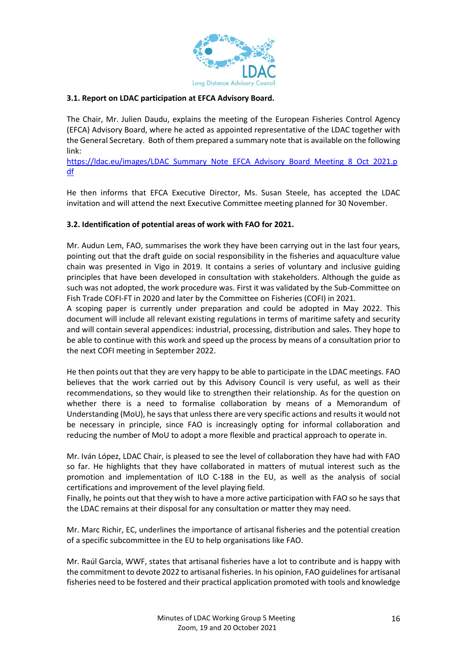

### **3.1. Report on LDAC participation at EFCA Advisory Board.**

The Chair, Mr. Julien Daudu, explains the meeting of the European Fisheries Control Agency (EFCA) Advisory Board, where he acted as appointed representative of the LDAC together with the General Secretary. Both of them prepared a summary note that is available on the following link:

[https://ldac.eu/images/LDAC\\_Summary\\_Note\\_EFCA\\_Advisory\\_Board\\_Meeting\\_8\\_Oct\\_2021.p](https://ldac.eu/images/LDAC_Summary_Note_EFCA_Advisory_Board_Meeting_8_Oct_2021.pdf) [df](https://ldac.eu/images/LDAC_Summary_Note_EFCA_Advisory_Board_Meeting_8_Oct_2021.pdf)

He then informs that EFCA Executive Director, Ms. Susan Steele, has accepted the LDAC invitation and will attend the next Executive Committee meeting planned for 30 November.

#### **3.2. Identification of potential areas of work with FAO for 2021.**

Mr. Audun Lem, FAO, summarises the work they have been carrying out in the last four years, pointing out that the draft guide on social responsibility in the fisheries and aquaculture value chain was presented in Vigo in 2019. It contains a series of voluntary and inclusive guiding principles that have been developed in consultation with stakeholders. Although the guide as such was not adopted, the work procedure was. First it was validated by the Sub-Committee on Fish Trade COFI-FT in 2020 and later by the Committee on Fisheries (COFI) in 2021.

A scoping paper is currently under preparation and could be adopted in May 2022. This document will include all relevant existing regulations in terms of maritime safety and security and will contain several appendices: industrial, processing, distribution and sales. They hope to be able to continue with this work and speed up the process by means of a consultation prior to the next COFI meeting in September 2022.

He then points out that they are very happy to be able to participate in the LDAC meetings. FAO believes that the work carried out by this Advisory Council is very useful, as well as their recommendations, so they would like to strengthen their relationship. As for the question on whether there is a need to formalise collaboration by means of a Memorandum of Understanding (MoU), he says that unless there are very specific actions and results it would not be necessary in principle, since FAO is increasingly opting for informal collaboration and reducing the number of MoU to adopt a more flexible and practical approach to operate in.

Mr. Iván López, LDAC Chair, is pleased to see the level of collaboration they have had with FAO so far. He highlights that they have collaborated in matters of mutual interest such as the promotion and implementation of ILO C-188 in the EU, as well as the analysis of social certifications and improvement of the level playing field.

Finally, he points out that they wish to have a more active participation with FAO so he says that the LDAC remains at their disposal for any consultation or matter they may need.

Mr. Marc Richir, EC, underlines the importance of artisanal fisheries and the potential creation of a specific subcommittee in the EU to help organisations like FAO.

Mr. Raúl García, WWF, states that artisanal fisheries have a lot to contribute and is happy with the commitment to devote 2022 to artisanal fisheries. In his opinion, FAO guidelines for artisanal fisheries need to be fostered and their practical application promoted with tools and knowledge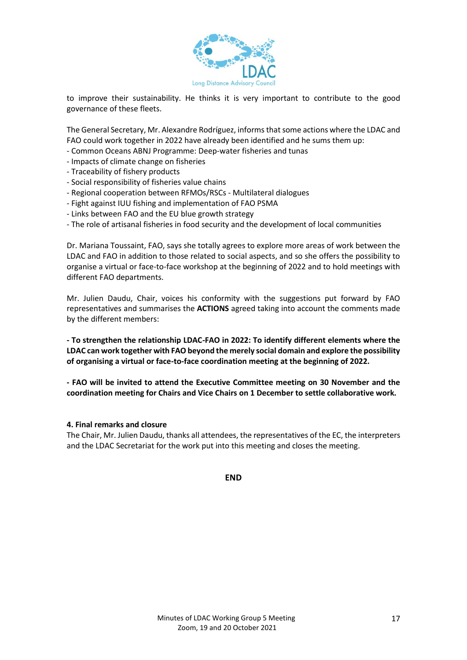

to improve their sustainability. He thinks it is very important to contribute to the good governance of these fleets.

The General Secretary, Mr. Alexandre Rodríguez, informs that some actions where the LDAC and FAO could work together in 2022 have already been identified and he sums them up:

- Common Oceans ABNJ Programme: Deep-water fisheries and tunas
- Impacts of climate change on fisheries
- Traceability of fishery products
- Social responsibility of fisheries value chains
- Regional cooperation between RFMOs/RSCs Multilateral dialogues
- Fight against IUU fishing and implementation of FAO PSMA
- Links between FAO and the EU blue growth strategy
- The role of artisanal fisheries in food security and the development of local communities

Dr. Mariana Toussaint, FAO, says she totally agrees to explore more areas of work between the LDAC and FAO in addition to those related to social aspects, and so she offers the possibility to organise a virtual or face-to-face workshop at the beginning of 2022 and to hold meetings with different FAO departments.

Mr. Julien Daudu, Chair, voices his conformity with the suggestions put forward by FAO representatives and summarises the **ACTIONS** agreed taking into account the comments made by the different members:

**- To strengthen the relationship LDAC-FAO in 2022: To identify different elements where the LDAC can work together with FAO beyond the merely social domain and explore the possibility of organising a virtual or face-to-face coordination meeting at the beginning of 2022.** 

**- FAO will be invited to attend the Executive Committee meeting on 30 November and the coordination meeting for Chairs and Vice Chairs on 1 December to settle collaborative work.** 

#### **4. Final remarks and closure**

The Chair, Mr. Julien Daudu, thanks all attendees, the representatives of the EC, the interpreters and the LDAC Secretariat for the work put into this meeting and closes the meeting.

**END**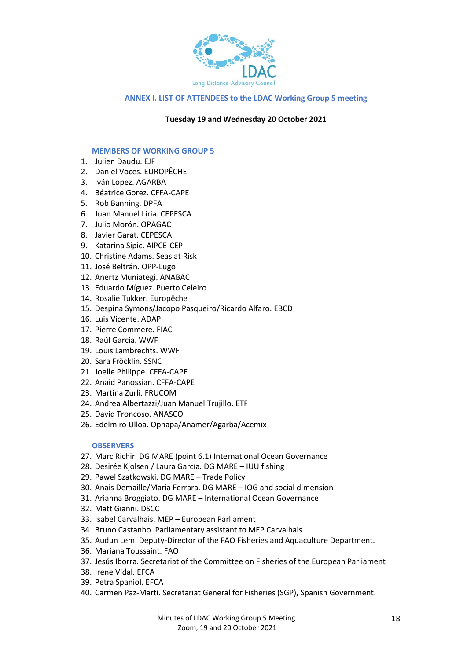

#### **ANNEX I. LIST OF ATTENDEES to the LDAC Working Group 5 meeting**

#### **Tuesday 19 and Wednesday 20 October 2021**

#### **MEMBERS OF WORKING GROUP 5**

- 1. Julien Daudu. EJF
- 2. Daniel Voces. EUROPÊCHE
- 3. Iván López. AGARBA
- 4. Béatrice Gorez. CFFA-CAPE
- 5. Rob Banning. DPFA
- 6. Juan Manuel Liria. CEPESCA
- 7. Julio Morón. OPAGAC
- 8. Javier Garat. CEPESCA
- 9. Katarina Sipic. AIPCE-CEP
- 10. Christine Adams. Seas at Risk
- 11. José Beltrán. OPP-Lugo
- 12. Anertz Muniategi. ANABAC
- 13. Eduardo Míguez. Puerto Celeiro
- 14. Rosalie Tukker. Europêche
- 15. Despina Symons/Jacopo Pasqueiro/Ricardo Alfaro. EBCD
- 16. Luis Vicente. ADAPI
- 17. Pierre Commere. FIAC
- 18. Raúl García. WWF
- 19. Louis Lambrechts. WWF
- 20. Sara Fröcklin. SSNC
- 21. Joelle Philippe. CFFA-CAPE
- 22. Anaid Panossian. CFFA-CAPE
- 23. Martina Zurli. FRUCOM
- 24. Andrea Albertazzi/Juan Manuel Trujillo. ETF
- 25. David Troncoso. ANASCO
- 26. Edelmiro Ulloa. Opnapa/Anamer/Agarba/Acemix

#### **OBSERVERS**

- 27. Marc Richir. DG MARE (point 6.1) International Ocean Governance
- 28. Desirée Kjolsen / Laura García. DG MARE IUU fishing
- 29. Pawel Szatkowski. DG MARE Trade Policy
- 30. Anais Demaille/Maria Ferrara. DG MARE IOG and social dimension
- 31. Arianna Broggiato. DG MARE International Ocean Governance
- 32. Matt Gianni. DSCC
- 33. Isabel Carvalhais. MEP European Parliament
- 34. Bruno Castanho. Parliamentary assistant to MEP Carvalhais
- 35. Audun Lem. Deputy-Director of the FAO Fisheries and Aquaculture Department.
- 36. Mariana Toussaint. FAO
- 37. Jesús Iborra. Secretariat of the Committee on Fisheries of the European Parliament
- 38. Irene Vidal. EFCA
- 39. Petra Spaniol. EFCA
- 40. Carmen Paz-Martí. Secretariat General for Fisheries (SGP), Spanish Government.